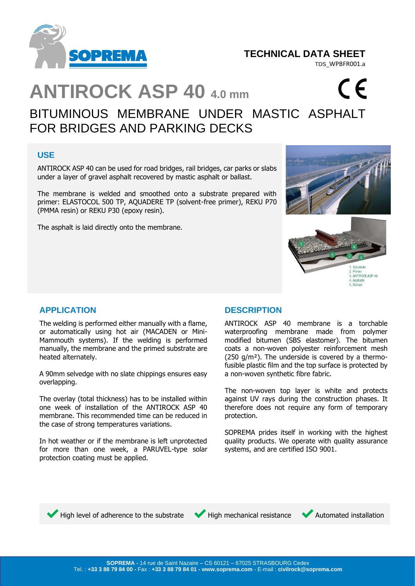

# **TECHNICAL DATA SHEET**

TDS\_WPBFR001.a

 $\epsilon$ 

# **ANTIROCK ASP 40 4.0 mm**

# BITUMINOUS MEMBRANE UNDER MASTIC ASPHALT FOR BRIDGES AND PARKING DECKS

# **USE**

ANTIROCK ASP 40 can be used for road bridges, rail bridges, car parks or slabs under a layer of gravel asphalt recovered by mastic asphalt or ballast.

The membrane is welded and smoothed onto a substrate prepared with primer: ELASTOCOL 500 TP, AQUADERE TP (solvent-free primer), REKU P70 (PMMA resin) or REKU P30 (epoxy resin).

The asphalt is laid directly onto the membrane.



# **APPLICATION**

The welding is performed either manually with a flame, or automatically using hot air (MACADEN or Mini-Mammouth systems). If the welding is performed manually, the membrane and the primed substrate are heated alternately.

A 90mm selvedge with no slate chippings ensures easy overlapping.

The overlay (total thickness) has to be installed within one week of installation of the ANTIROCK ASP 40 membrane. This recommended time can be reduced in the case of strong temperatures variations.

In hot weather or if the membrane is left unprotected for more than one week, a PARUVEL-type solar protection coating must be applied.

# **DESCRIPTION**

ANTIROCK ASP 40 membrane is a torchable waterproofing membrane made from polymer modified bitumen (SBS elastomer). The bitumen coats a non-woven polyester reinforcement mesh (250 g/m²). The underside is covered by a thermofusible plastic film and the top surface is protected by a non-woven synthetic fibre fabric.

The non-woven top layer is white and protects against UV rays during the construction phases. It therefore does not require any form of temporary protection.

SOPREMA prides itself in working with the highest quality products. We operate with quality assurance systems, and are certified ISO 9001.



High level of adherence to the substrate  $\blacktriangledown$  High mechanical resistance  $\blacktriangledown$  Automated installation